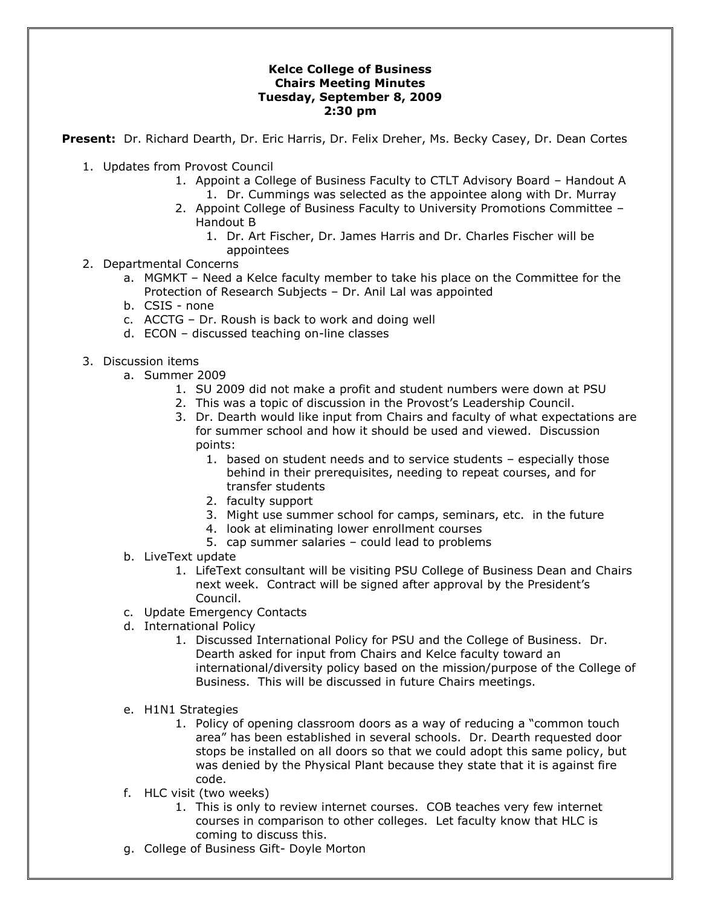## **Kelce College of Business Chairs Meeting Minutes Tuesday, September 8, 2009 2:30 pm**

**Present:** Dr. Richard Dearth, Dr. Eric Harris, Dr. Felix Dreher, Ms. Becky Casey, Dr. Dean Cortes

- 1. Updates from Provost Council
	- 1. Appoint a College of Business Faculty to CTLT Advisory Board Handout A 1. Dr. Cummings was selected as the appointee along with Dr. Murray
	- 2. Appoint College of Business Faculty to University Promotions Committee Handout B
		- 1. Dr. Art Fischer, Dr. James Harris and Dr. Charles Fischer will be appointees
- 2. Departmental Concerns
	- a. MGMKT Need a Kelce faculty member to take his place on the Committee for the Protection of Research Subjects – Dr. Anil Lal was appointed
	- b. CSIS none
	- c. ACCTG Dr. Roush is back to work and doing well
	- d. ECON discussed teaching on-line classes
- 3. Discussion items
	- a. Summer 2009
		- 1. SU 2009 did not make a profit and student numbers were down at PSU
		- 2. This was a topic of discussion in the Provost's Leadership Council.
		- 3. Dr. Dearth would like input from Chairs and faculty of what expectations are for summer school and how it should be used and viewed. Discussion points:
			- 1. based on student needs and to service students especially those behind in their prerequisites, needing to repeat courses, and for transfer students
			- 2. faculty support
			- 3. Might use summer school for camps, seminars, etc. in the future
			- 4. look at eliminating lower enrollment courses
			- 5. cap summer salaries could lead to problems
	- b. LiveText update
		- 1. LifeText consultant will be visiting PSU College of Business Dean and Chairs next week. Contract will be signed after approval by the President's Council.
	- c. Update Emergency Contacts
	- d. International Policy
		- 1. Discussed International Policy for PSU and the College of Business. Dr. Dearth asked for input from Chairs and Kelce faculty toward an international/diversity policy based on the mission/purpose of the College of Business. This will be discussed in future Chairs meetings.
	- e. H1N1 Strategies
		- 1. Policy of opening classroom doors as a way of reducing a "common touch area" has been established in several schools. Dr. Dearth requested door stops be installed on all doors so that we could adopt this same policy, but was denied by the Physical Plant because they state that it is against fire code.
	- f. HLC visit (two weeks)
		- 1. This is only to review internet courses. COB teaches very few internet courses in comparison to other colleges. Let faculty know that HLC is coming to discuss this.
	- g. College of Business Gift- Doyle Morton